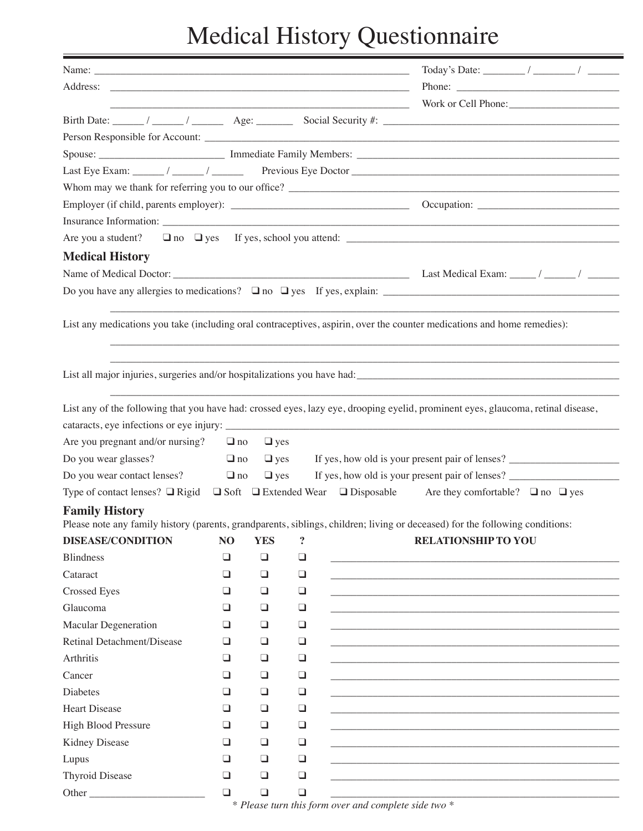## Medical History Questionnaire

|                                  |           |            |        |  | Birth Date: $\frac{1}{\sqrt{2\pi}}$ $\frac{1}{\sqrt{2\pi}}$ Age: Social Security #:                                                |  |  |  |
|----------------------------------|-----------|------------|--------|--|------------------------------------------------------------------------------------------------------------------------------------|--|--|--|
|                                  |           |            |        |  |                                                                                                                                    |  |  |  |
|                                  |           |            |        |  |                                                                                                                                    |  |  |  |
|                                  |           |            |        |  |                                                                                                                                    |  |  |  |
|                                  |           |            |        |  | Whom may we thank for referring you to our office?                                                                                 |  |  |  |
|                                  |           |            |        |  |                                                                                                                                    |  |  |  |
|                                  |           |            |        |  |                                                                                                                                    |  |  |  |
|                                  |           |            |        |  |                                                                                                                                    |  |  |  |
| <b>Medical History</b>           |           |            |        |  |                                                                                                                                    |  |  |  |
|                                  |           |            |        |  |                                                                                                                                    |  |  |  |
|                                  |           |            |        |  |                                                                                                                                    |  |  |  |
|                                  |           |            |        |  |                                                                                                                                    |  |  |  |
|                                  |           |            |        |  | List any medications you take (including oral contraceptives, aspirin, over the counter medications and home remedies):            |  |  |  |
|                                  |           |            |        |  |                                                                                                                                    |  |  |  |
|                                  |           |            |        |  |                                                                                                                                    |  |  |  |
|                                  |           |            |        |  |                                                                                                                                    |  |  |  |
|                                  |           |            |        |  |                                                                                                                                    |  |  |  |
|                                  |           |            |        |  | List any of the following that you have had: crossed eyes, lazy eye, drooping eyelid, prominent eyes, glaucoma, retinal disease,   |  |  |  |
|                                  |           |            |        |  |                                                                                                                                    |  |  |  |
| Are you pregnant and/or nursing? | $\Box$ no | $\Box$ yes |        |  |                                                                                                                                    |  |  |  |
| Do you wear glasses?             | $\Box$ no | $\Box$ yes |        |  | If yes, how old is your present pair of lenses? ________________________________                                                   |  |  |  |
| Do you wear contact lenses?      | $\Box$ no | $\Box$ yes |        |  |                                                                                                                                    |  |  |  |
|                                  |           |            |        |  | Type of contact lenses? $\Box$ Rigid $\Box$ Soft $\Box$ Extended Wear $\Box$ Disposable Are they comfortable? $\Box$ no $\Box$ yes |  |  |  |
| <b>Family History</b>            |           |            |        |  |                                                                                                                                    |  |  |  |
|                                  |           |            |        |  | Please note any family history (parents, grandparents, siblings, children; living or deceased) for the following conditions:       |  |  |  |
| <b>DISEASE/CONDITION</b>         | NO        | <b>YES</b> | ?      |  | <b>RELATIONSHIP TO YOU</b>                                                                                                         |  |  |  |
| <b>Blindness</b>                 | ❏         | $\Box$     | $\Box$ |  |                                                                                                                                    |  |  |  |
| Cataract                         | $\Box$    | $\Box$     | $\Box$ |  |                                                                                                                                    |  |  |  |
| <b>Crossed Eyes</b>              | ⊔         | ⊔          | $\Box$ |  |                                                                                                                                    |  |  |  |
| Glaucoma                         | ❏         | ❏          | $\Box$ |  |                                                                                                                                    |  |  |  |
| <b>Macular Degeneration</b>      | ❏         | ❏          | $\Box$ |  |                                                                                                                                    |  |  |  |
| Retinal Detachment/Disease       | ⊔         | ⊔          | $\Box$ |  |                                                                                                                                    |  |  |  |
| Arthritis                        | ⊔         | ❏          | $\Box$ |  |                                                                                                                                    |  |  |  |
| Cancer                           | ❏         | ❏          | $\Box$ |  |                                                                                                                                    |  |  |  |
| Diabetes                         | ப         | ❏          | $\Box$ |  |                                                                                                                                    |  |  |  |
| <b>Heart Disease</b>             | ⊔         | ❏          | $\Box$ |  |                                                                                                                                    |  |  |  |
| High Blood Pressure              | ❏         | ❏          | $\Box$ |  |                                                                                                                                    |  |  |  |
| Kidney Disease                   | ⊔         | ⊔          | $\Box$ |  |                                                                                                                                    |  |  |  |
| Lupus                            | ❏         | ❏          | $\Box$ |  |                                                                                                                                    |  |  |  |
| Thyroid Disease                  | $\Box$    | $\Box$     | $\Box$ |  |                                                                                                                                    |  |  |  |
| Other                            | $\Box$    | $\Box$     | $\Box$ |  |                                                                                                                                    |  |  |  |

\* *Please turn this form over and complete side two \**